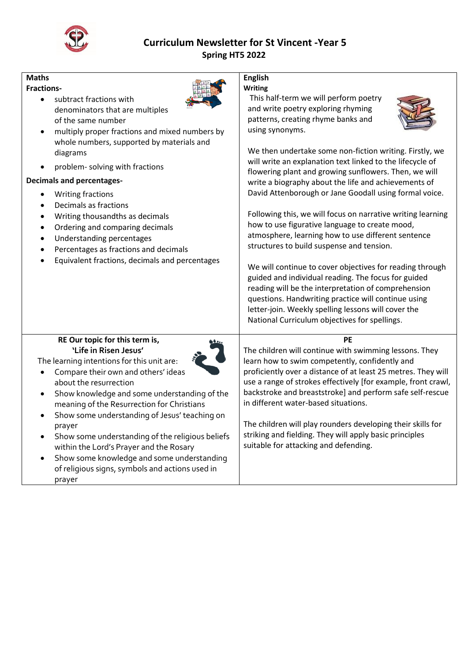

## **Curriculum Newsletter for St Vincent -Year 5 Spring HT5 2022**

## **Maths**

#### **Fractions-**

- subtract fractions with denominators that are multiples of the same number
- multiply proper fractions and mixed numbers by whole numbers, supported by materials and diagrams
- problem- solving with fractions

#### **Decimals and percentages-**

- Writing fractions
- Decimals as fractions
- Writing thousandths as decimals
- Ordering and comparing decimals
- Understanding percentages
- Percentages as fractions and decimals
- Equivalent fractions, decimals and percentages

# **English**

**Writing** 

This half-term we will perform poetry and write poetry exploring rhyming patterns, creating rhyme banks and using synonyms.



We then undertake some non-fiction writing. Firstly, we will write an explanation text linked to the lifecycle of flowering plant and growing sunflowers. Then, we will write a biography about the life and achievements of David Attenborough or Jane Goodall using formal voice.

Following this, we will focus on narrative writing learning how to use figurative language to create mood, atmosphere, learning how to use different sentence structures to build suspense and tension.

We will continue to cover objectives for reading through guided and individual reading. The focus for guided reading will be the interpretation of comprehension questions. Handwriting practice will continue using letter-join. Weekly spelling lessons will cover the National Curriculum objectives for spellings.

#### **RE Our topic for this term is, 'Life in Risen Jesus'**

The learning intentions for this unit are:

- Compare their own and others' ideas about the resurrection
- Show knowledge and some understanding of the meaning of the Resurrection for Christians
- Show some understanding of Jesus' teaching on prayer
- Show some understanding of the religious beliefs within the Lord's Prayer and the Rosary
- Show some knowledge and some understanding of religious signs, symbols and actions used in prayer



The children will continue with swimming lessons. They learn how to swim competently, confidently and proficiently over a distance of at least 25 metres. They will use a range of strokes effectively [for example, front crawl, backstroke and breaststroke] and perform safe self-rescue in different water-based situations.

The children will play rounders developing their skills for striking and fielding. They will apply basic principles suitable for attacking and defending.